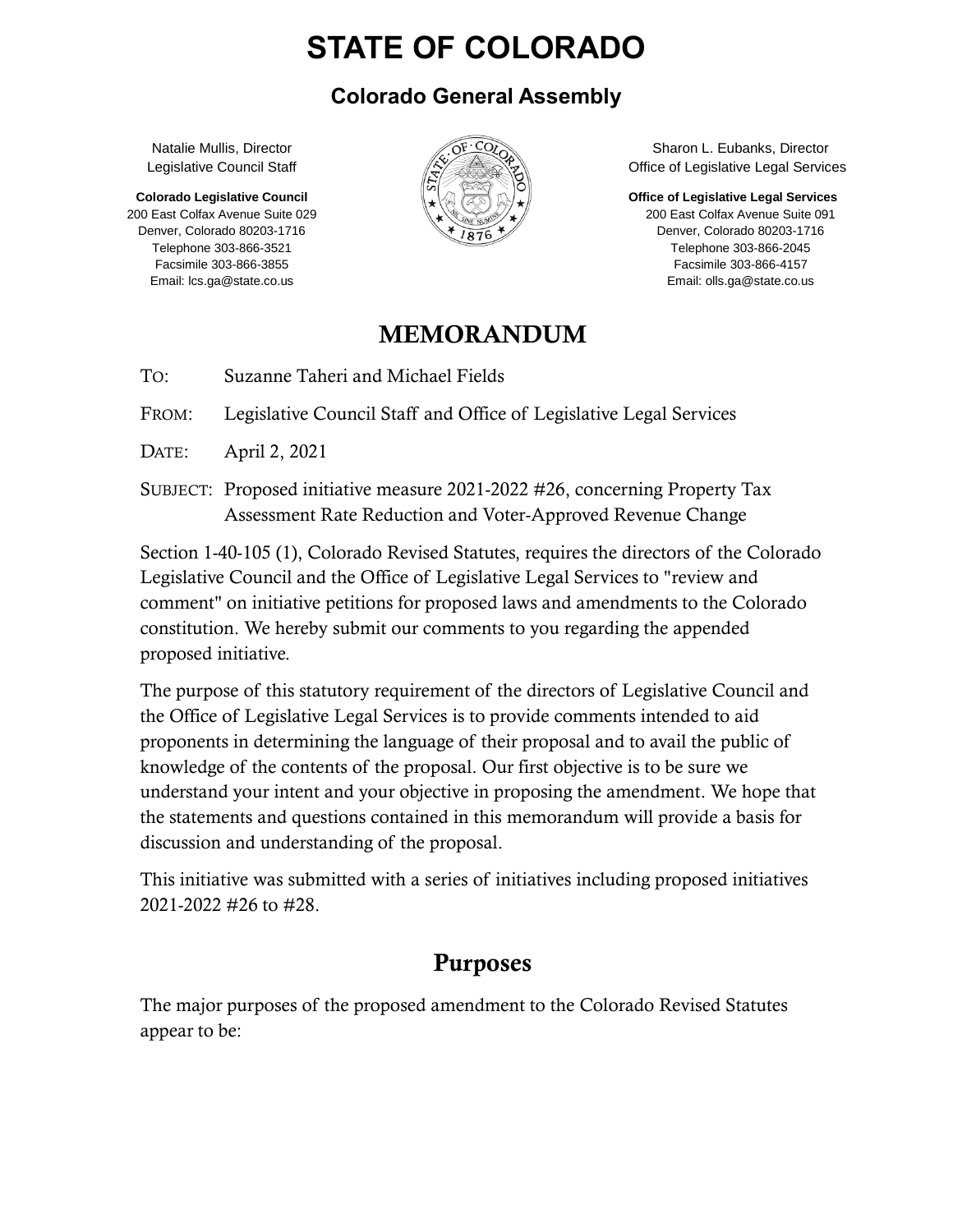# **STATE OF COLORADO**

#### **Colorado General Assembly**

Natalie Mullis, Director Legislative Council Staff

**Colorado Legislative Council** 200 East Colfax Avenue Suite 029 Denver, Colorado 80203-1716 Telephone 303-866-3521 Facsimile 303-866-3855 Email: lcs.ga@state.co.us



Sharon L. Eubanks, Director Office of Legislative Legal Services

**Office of Legislative Legal Services**

200 East Colfax Avenue Suite 091 Denver, Colorado 80203-1716 Telephone 303-866-2045 Facsimile 303-866-4157 Email: olls.ga@state.co.us

### MEMORANDUM

TO: Suzanne Taheri and Michael Fields

FROM: Legislative Council Staff and Office of Legislative Legal Services

DATE: April 2, 2021

SUBJECT: Proposed initiative measure 2021-2022 #26, concerning Property Tax Assessment Rate Reduction and Voter-Approved Revenue Change

Section 1-40-105 (1), Colorado Revised Statutes, requires the directors of the Colorado Legislative Council and the Office of Legislative Legal Services to "review and comment" on initiative petitions for proposed laws and amendments to the Colorado constitution. We hereby submit our comments to you regarding the appended proposed initiative.

The purpose of this statutory requirement of the directors of Legislative Council and the Office of Legislative Legal Services is to provide comments intended to aid proponents in determining the language of their proposal and to avail the public of knowledge of the contents of the proposal. Our first objective is to be sure we understand your intent and your objective in proposing the amendment. We hope that the statements and questions contained in this memorandum will provide a basis for discussion and understanding of the proposal.

This initiative was submitted with a series of initiatives including proposed initiatives 2021-2022 #26 to #28.

# Purposes

The major purposes of the proposed amendment to the Colorado Revised Statutes appear to be: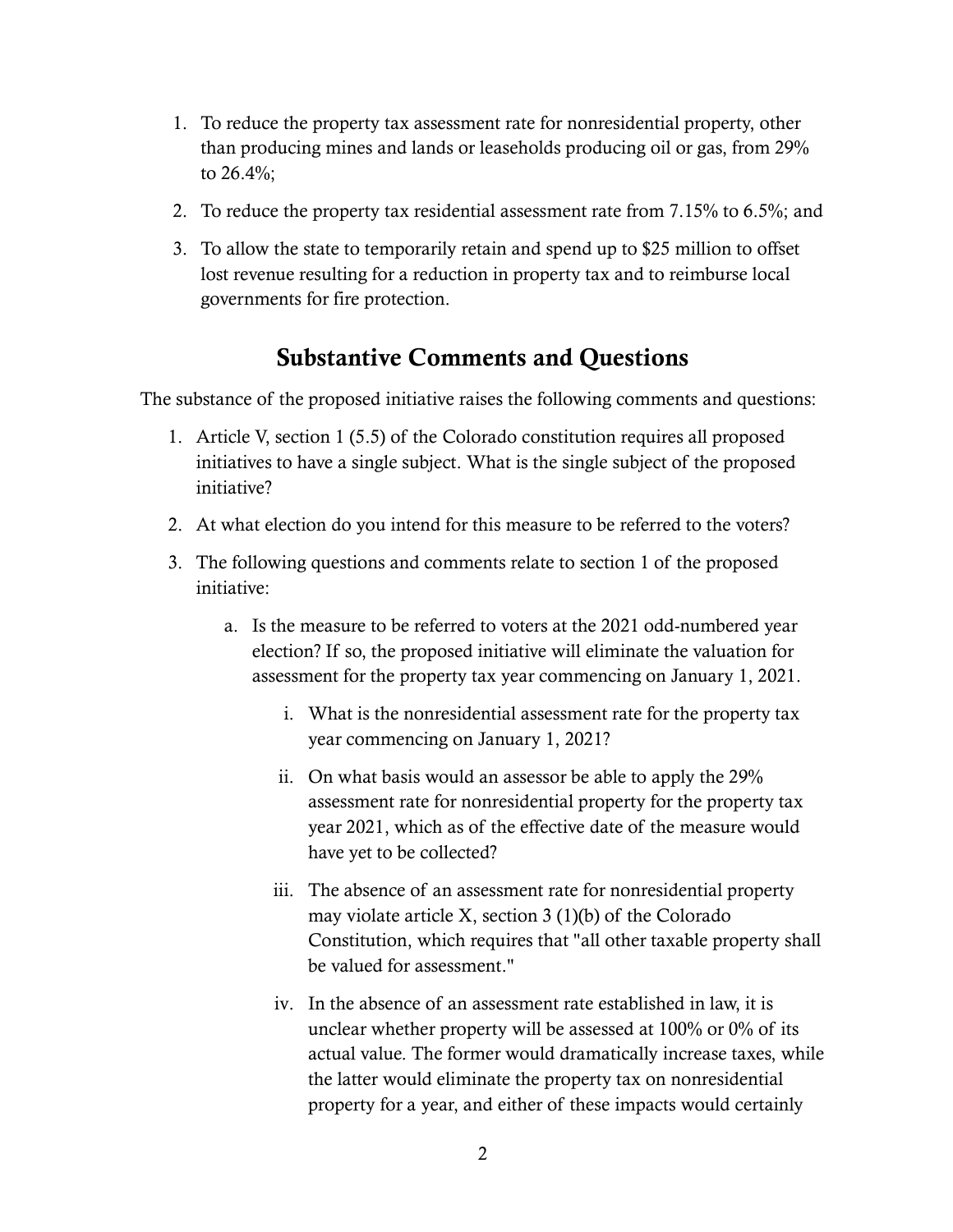- 1. To reduce the property tax assessment rate for nonresidential property, other than producing mines and lands or leaseholds producing oil or gas, from 29% to 26.4%;
- 2. To reduce the property tax residential assessment rate from 7.15% to 6.5%; and
- 3. To allow the state to temporarily retain and spend up to \$25 million to offset lost revenue resulting for a reduction in property tax and to reimburse local governments for fire protection.

### Substantive Comments and Questions

The substance of the proposed initiative raises the following comments and questions:

- 1. Article V, section 1 (5.5) of the Colorado constitution requires all proposed initiatives to have a single subject. What is the single subject of the proposed initiative?
- 2. At what election do you intend for this measure to be referred to the voters?
- 3. The following questions and comments relate to section 1 of the proposed initiative:
	- a. Is the measure to be referred to voters at the 2021 odd-numbered year election? If so, the proposed initiative will eliminate the valuation for assessment for the property tax year commencing on January 1, 2021.
		- i. What is the nonresidential assessment rate for the property tax year commencing on January 1, 2021?
		- ii. On what basis would an assessor be able to apply the 29% assessment rate for nonresidential property for the property tax year 2021, which as of the effective date of the measure would have yet to be collected?
		- iii. The absence of an assessment rate for nonresidential property may violate article X, section 3 (1)(b) of the Colorado Constitution, which requires that "all other taxable property shall be valued for assessment."
		- iv. In the absence of an assessment rate established in law, it is unclear whether property will be assessed at 100% or 0% of its actual value. The former would dramatically increase taxes, while the latter would eliminate the property tax on nonresidential property for a year, and either of these impacts would certainly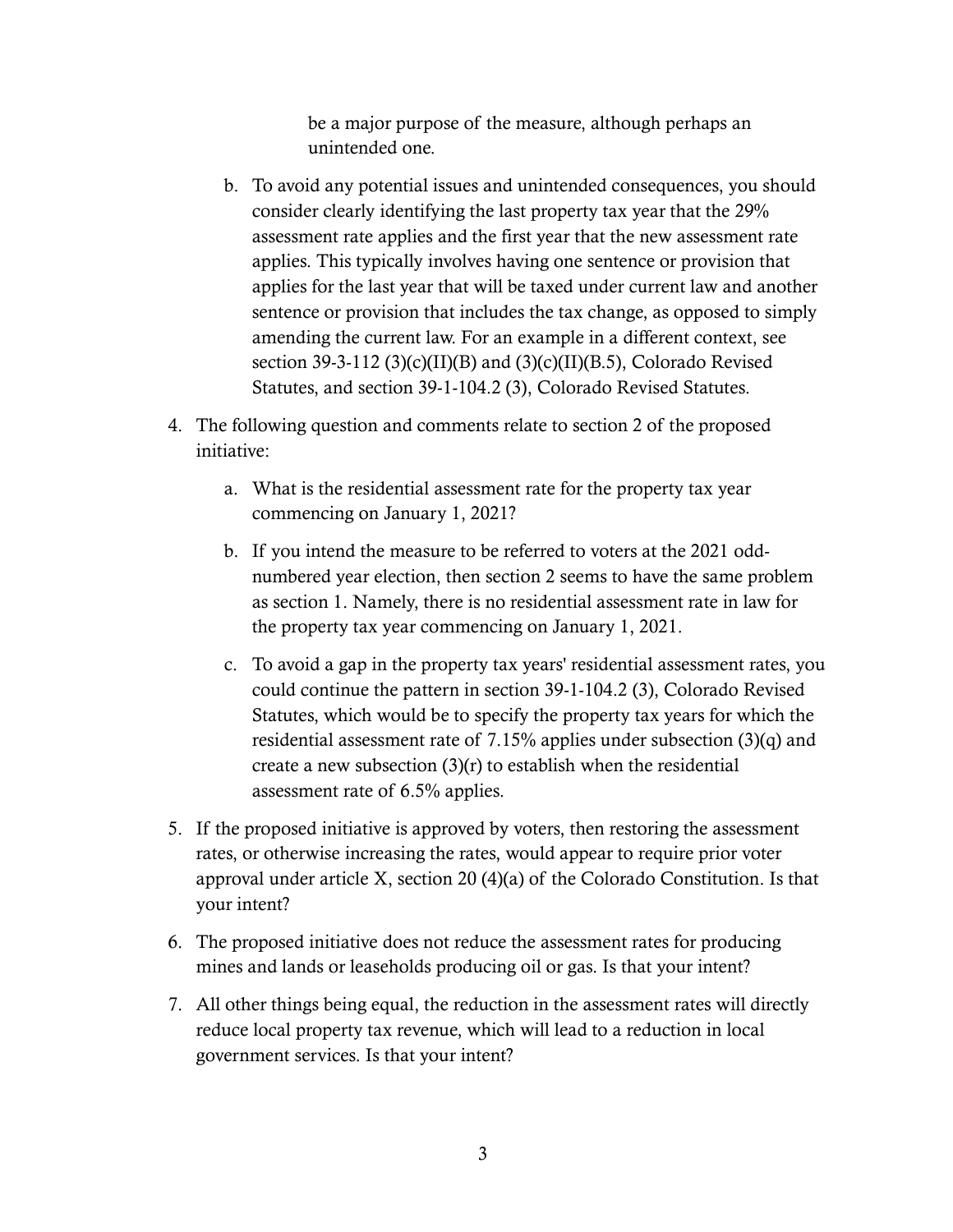be a major purpose of the measure, although perhaps an unintended one.

- b. To avoid any potential issues and unintended consequences, you should consider clearly identifying the last property tax year that the 29% assessment rate applies and the first year that the new assessment rate applies. This typically involves having one sentence or provision that applies for the last year that will be taxed under current law and another sentence or provision that includes the tax change, as opposed to simply amending the current law. For an example in a different context, see section 39-3-112 (3)(c)(II)(B) and (3)(c)(II)(B.5), Colorado Revised Statutes, and section 39-1-104.2 (3), Colorado Revised Statutes.
- 4. The following question and comments relate to section 2 of the proposed initiative:
	- a. What is the residential assessment rate for the property tax year commencing on January 1, 2021?
	- b. If you intend the measure to be referred to voters at the 2021 oddnumbered year election, then section 2 seems to have the same problem as section 1. Namely, there is no residential assessment rate in law for the property tax year commencing on January 1, 2021.
	- c. To avoid a gap in the property tax years' residential assessment rates, you could continue the pattern in section 39-1-104.2 (3), Colorado Revised Statutes, which would be to specify the property tax years for which the residential assessment rate of 7.15% applies under subsection (3)(q) and create a new subsection  $(3)(r)$  to establish when the residential assessment rate of 6.5% applies.
- 5. If the proposed initiative is approved by voters, then restoring the assessment rates, or otherwise increasing the rates, would appear to require prior voter approval under article X, section 20 (4)(a) of the Colorado Constitution. Is that your intent?
- 6. The proposed initiative does not reduce the assessment rates for producing mines and lands or leaseholds producing oil or gas. Is that your intent?
- 7. All other things being equal, the reduction in the assessment rates will directly reduce local property tax revenue, which will lead to a reduction in local government services. Is that your intent?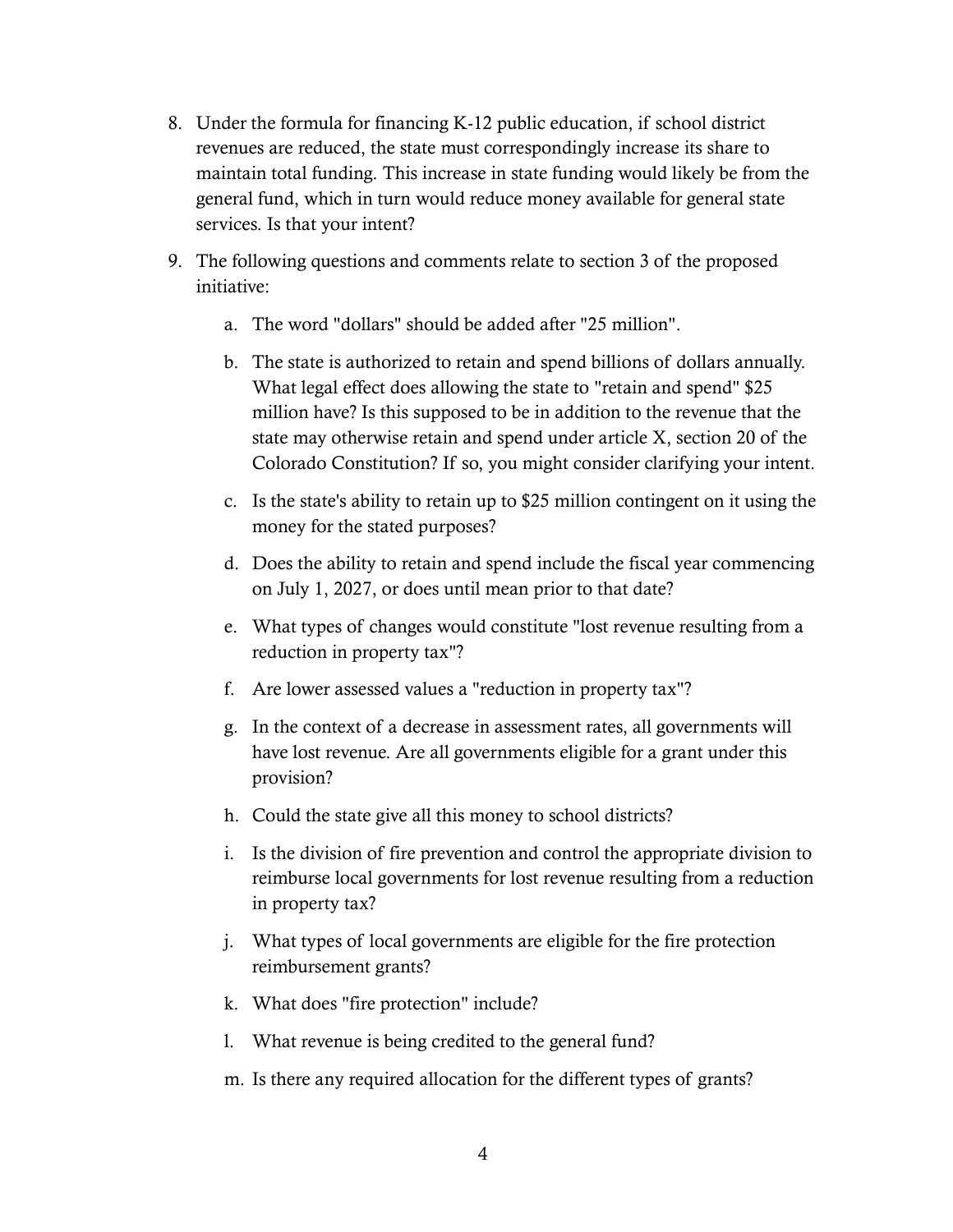- 8. Under the formula for financing K-12 public education, if school district revenues are reduced, the state must correspondingly increase its share to maintain total funding. This increase in state funding would likely be from the general fund, which in turn would reduce money available for general state services. Is that your intent?
- 9. The following questions and comments relate to section 3 of the proposed initiative:
	- a. The word "dollars" should be added after "25 million".
	- b. The state is authorized to retain and spend billions of dollars annually. What legal effect does allowing the state to "retain and spend" \$25 million have? Is this supposed to be in addition to the revenue that the state may otherwise retain and spend under article X, section 20 of the Colorado Constitution? If so, you might consider clarifying your intent.
	- c. Is the state's ability to retain up to \$25 million contingent on it using the money for the stated purposes?
	- d. Does the ability to retain and spend include the fiscal year commencing on July 1, 2027, or does until mean prior to that date?
	- e. What types of changes would constitute "lost revenue resulting from a reduction in property tax"?
	- f. Are lower assessed values a "reduction in property tax"?
	- g. In the context of a decrease in assessment rates, all governments will have lost revenue. Are all governments eligible for a grant under this provision?
	- h. Could the state give all this money to school districts?
	- i. Is the division of fire prevention and control the appropriate division to reimburse local governments for lost revenue resulting from a reduction in property tax?
	- j. What types of local governments are eligible for the fire protection reimbursement grants?
	- k. What does "fire protection" include?
	- l. What revenue is being credited to the general fund?
	- m. Is there any required allocation for the different types of grants?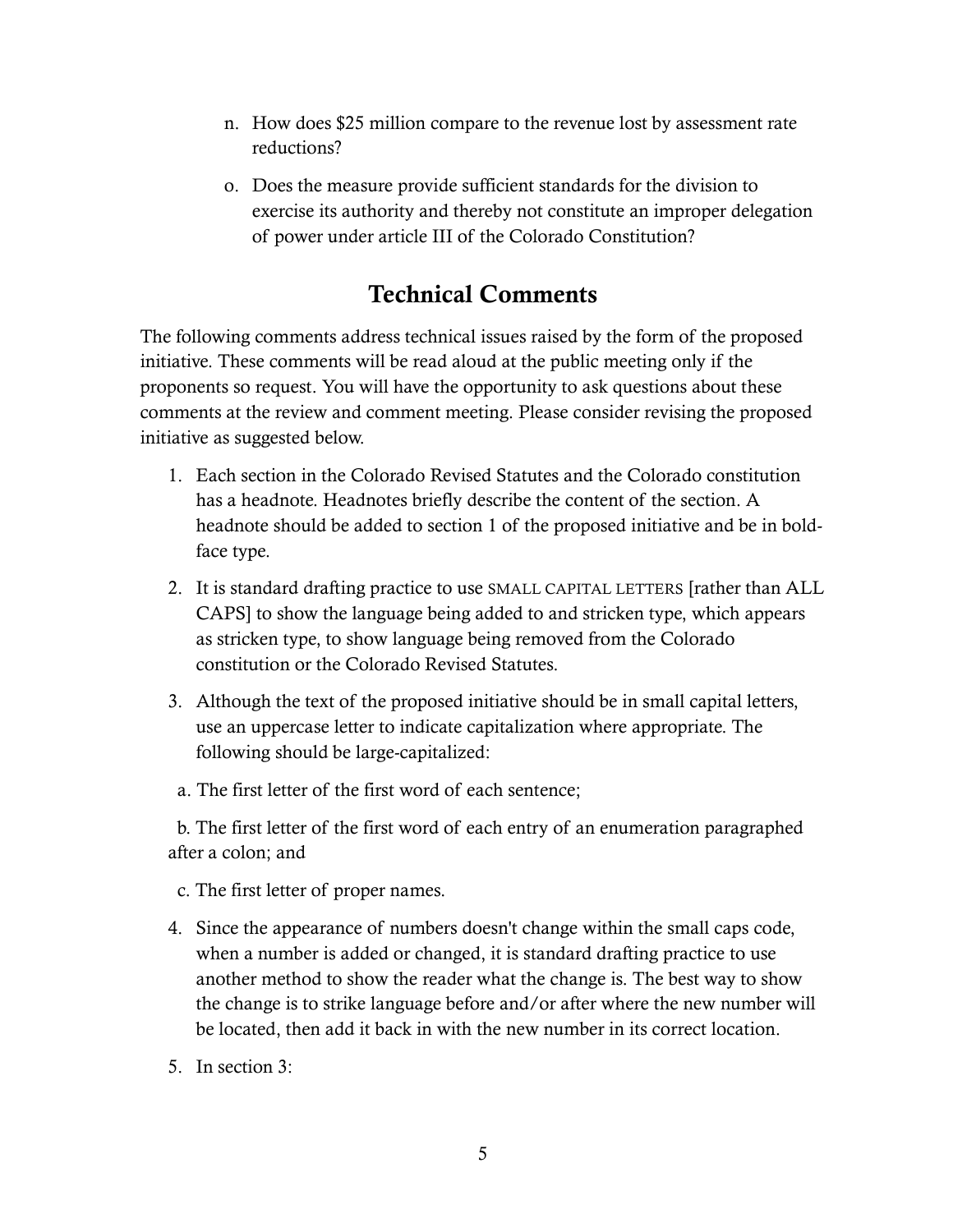- n. How does \$25 million compare to the revenue lost by assessment rate reductions?
- o. Does the measure provide sufficient standards for the division to exercise its authority and thereby not constitute an improper delegation of power under article III of the Colorado Constitution?

## Technical Comments

The following comments address technical issues raised by the form of the proposed initiative. These comments will be read aloud at the public meeting only if the proponents so request. You will have the opportunity to ask questions about these comments at the review and comment meeting. Please consider revising the proposed initiative as suggested below.

- 1. Each section in the Colorado Revised Statutes and the Colorado constitution has a headnote. Headnotes briefly describe the content of the section. A headnote should be added to section 1 of the proposed initiative and be in boldface type.
- 2. It is standard drafting practice to use SMALL CAPITAL LETTERS [rather than ALL CAPS] to show the language being added to and stricken type, which appears as stricken type, to show language being removed from the Colorado constitution or the Colorado Revised Statutes.
- 3. Although the text of the proposed initiative should be in small capital letters, use an uppercase letter to indicate capitalization where appropriate. The following should be large-capitalized:
- a. The first letter of the first word of each sentence;

 b. The first letter of the first word of each entry of an enumeration paragraphed after a colon; and

- c. The first letter of proper names.
- 4. Since the appearance of numbers doesn't change within the small caps code, when a number is added or changed, it is standard drafting practice to use another method to show the reader what the change is. The best way to show the change is to strike language before and/or after where the new number will be located, then add it back in with the new number in its correct location.
- 5. In section 3: